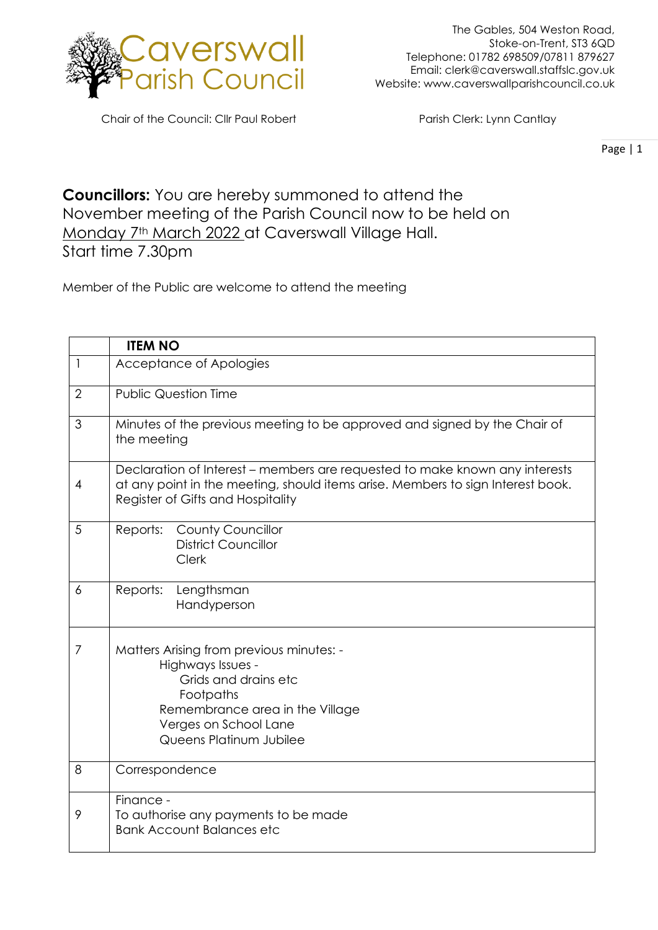

Chair of the Council: Cllr Paul Robert Parish Clerk: Lynn Cantlay

Page | 1

## **Councillors:** You are hereby summoned to attend the November meeting of the Parish Council now to be held on Monday 7<sup>th</sup> March 2022 at Caverswall Village Hall. Start time 7.30pm

Member of the Public are welcome to attend the meeting

|                | <b>ITEM NO</b>                                                                                                                                                                                      |
|----------------|-----------------------------------------------------------------------------------------------------------------------------------------------------------------------------------------------------|
| $\mathbf{1}$   | Acceptance of Apologies                                                                                                                                                                             |
| $\overline{2}$ | <b>Public Question Time</b>                                                                                                                                                                         |
| 3              | Minutes of the previous meeting to be approved and signed by the Chair of<br>the meeting                                                                                                            |
| $\overline{4}$ | Declaration of Interest – members are requested to make known any interests<br>at any point in the meeting, should items arise. Members to sign Interest book.<br>Register of Gifts and Hospitality |
| 5              | <b>County Councillor</b><br>Reports:<br><b>District Councillor</b><br>Clerk                                                                                                                         |
| 6              | Reports:<br>Lengthsman<br>Handyperson                                                                                                                                                               |
| 7              | Matters Arising from previous minutes: -<br>Highways Issues -<br>Grids and drains etc<br>Footpaths<br>Remembrance area in the Village<br>Verges on School Lane<br>Queens Platinum Jubilee           |
| 8              | Correspondence                                                                                                                                                                                      |
| 9              | Finance -<br>To authorise any payments to be made<br><b>Bank Account Balances etc</b>                                                                                                               |